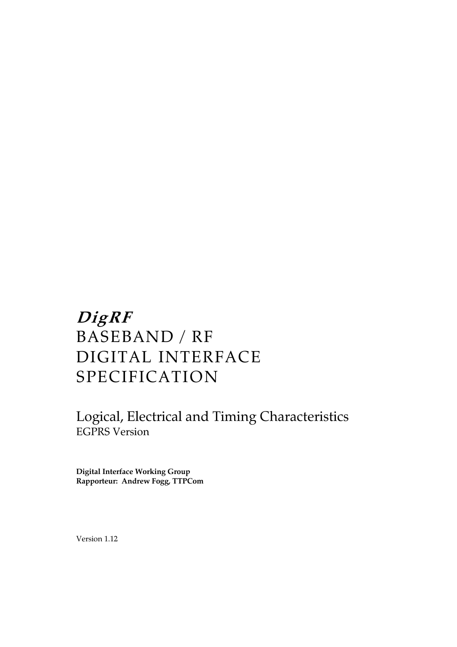# **DigRF**  BASEBAND / RF DIGITAL INTERFACE SPECIFICATION

Logical, Electrical and Timing Characteristics EGPRS Version

**Digital Interface Working Group Rapporteur: Andrew Fogg, TTPCom** 

Version 1.12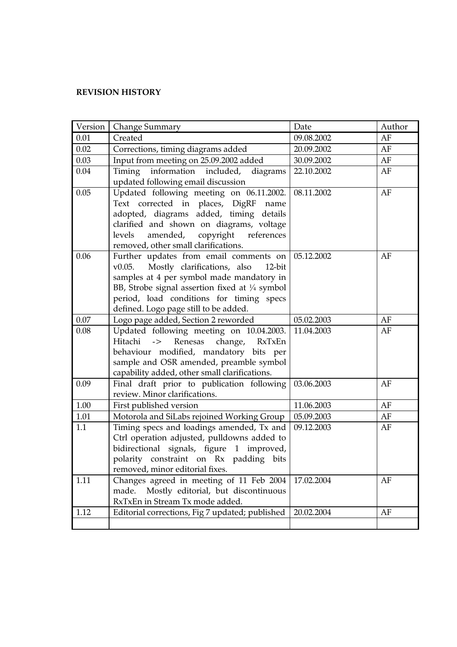# **REVISION HISTORY**

| Version | Change Summary                                                                                                                                                                                                                                                                              | Date       | Author |
|---------|---------------------------------------------------------------------------------------------------------------------------------------------------------------------------------------------------------------------------------------------------------------------------------------------|------------|--------|
| 0.01    | Created                                                                                                                                                                                                                                                                                     | 09.08.2002 | AF     |
| 0.02    | Corrections, timing diagrams added                                                                                                                                                                                                                                                          | 20.09.2002 | AF     |
| 0.03    | Input from meeting on 25.09.2002 added                                                                                                                                                                                                                                                      | 30.09.2002 | AF     |
| 0.04    | Timing information included, diagrams<br>updated following email discussion                                                                                                                                                                                                                 | 22.10.2002 | AF     |
| 0.05    | Updated following meeting on 06.11.2002.<br>Text corrected in places, DigRF<br>name<br>adopted, diagrams added, timing details<br>clarified and shown on diagrams, voltage<br>levels<br>amended, copyright references<br>removed, other small clarifications.                               | 08.11.2002 | AF     |
| 0.06    | Further updates from email comments on<br>Mostly clarifications, also<br>v0.05.<br>$12$ -bit<br>samples at 4 per symbol made mandatory in<br>BB, Strobe signal assertion fixed at $\frac{1}{4}$ symbol<br>period, load conditions for timing specs<br>defined. Logo page still to be added. | 05.12.2002 | AF     |
| 0.07    | Logo page added, Section 2 reworded                                                                                                                                                                                                                                                         | 05.02.2003 | AF     |
| 0.08    | Updated following meeting on 10.04.2003.<br>Hitachi<br>$\rightarrow$<br>Renesas<br>change,<br>RxTxEn<br>behaviour modified, mandatory bits per<br>sample and OSR amended, preamble symbol<br>capability added, other small clarifications.                                                  | 11.04.2003 | AF     |
| 0.09    | Final draft prior to publication following<br>review. Minor clarifications.                                                                                                                                                                                                                 | 03.06.2003 | AF     |
| 1.00    | First published version                                                                                                                                                                                                                                                                     | 11.06.2003 | AF     |
| 1.01    | Motorola and SiLabs rejoined Working Group                                                                                                                                                                                                                                                  | 05.09.2003 | AF     |
| 1.1     | Timing specs and loadings amended, Tx and<br>Ctrl operation adjusted, pulldowns added to<br>bidirectional signals, figure 1 improved,<br>polarity constraint on Rx padding bits<br>removed, minor editorial fixes.                                                                          | 09.12.2003 | AF     |
| 1.11    | Changes agreed in meeting of 11 Feb 2004<br>Mostly editorial, but discontinuous<br>made.<br>RxTxEn in Stream Tx mode added.                                                                                                                                                                 | 17.02.2004 | AF     |
| 1.12    | Editorial corrections, Fig 7 updated; published                                                                                                                                                                                                                                             | 20.02.2004 | AF     |
|         |                                                                                                                                                                                                                                                                                             |            |        |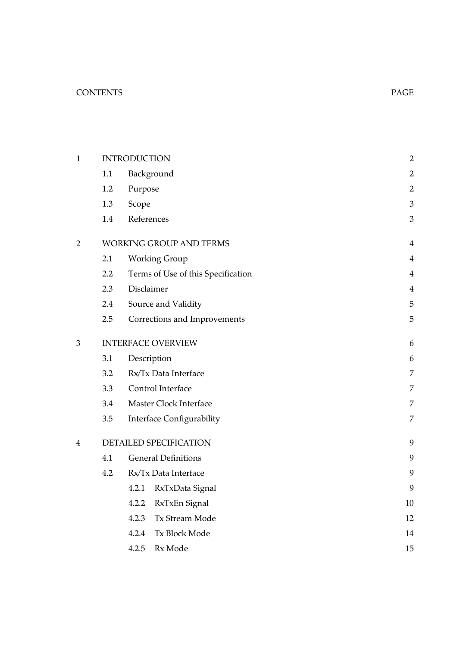# CONTENTS PAGE

| 1 |                  | <b>INTRODUCTION</b>                | $\mathbf 2$    |
|---|------------------|------------------------------------|----------------|
|   | 1.1              | Background                         | 2              |
|   | 1.2              | Purpose                            | $\mathbf{2}$   |
|   | 1.3              | Scope                              | $\mathfrak{Z}$ |
|   | 1.4              | References                         | 3              |
| 2 |                  | <b>WORKING GROUP AND TERMS</b>     | $\overline{4}$ |
|   | 2.1              | <b>Working Group</b>               | $\overline{4}$ |
|   | $2.2\phantom{0}$ | Terms of Use of this Specification | 4              |
|   | 2.3              | Disclaimer                         | $\overline{4}$ |
|   | $2.4\,$          | Source and Validity                | 5              |
|   | 2.5              | Corrections and Improvements       | 5              |
| 3 |                  | <b>INTERFACE OVERVIEW</b>          | 6              |
|   | 3.1              | Description                        | 6              |
|   | 3.2              | Rx/Tx Data Interface               | 7              |
|   | 3.3              | Control Interface                  | 7              |
|   | 3.4              | Master Clock Interface             | 7              |
|   | 3.5              | <b>Interface Configurability</b>   | 7              |
| 4 |                  | DETAILED SPECIFICATION             | 9              |
|   | 4.1              | <b>General Definitions</b>         | 9              |
|   | 4.2              | Rx/Tx Data Interface               | 9              |
|   |                  | 4.2.1<br>RxTxData Signal           | 9              |
|   |                  | RxTxEn Signal<br>4.2.2             | $10\,$         |
|   |                  | Tx Stream Mode<br>4.2.3            | 12             |
|   |                  | 4.2.4<br><b>Tx Block Mode</b>      | 14             |
|   |                  | 4.2.5<br>Rx Mode                   | 15             |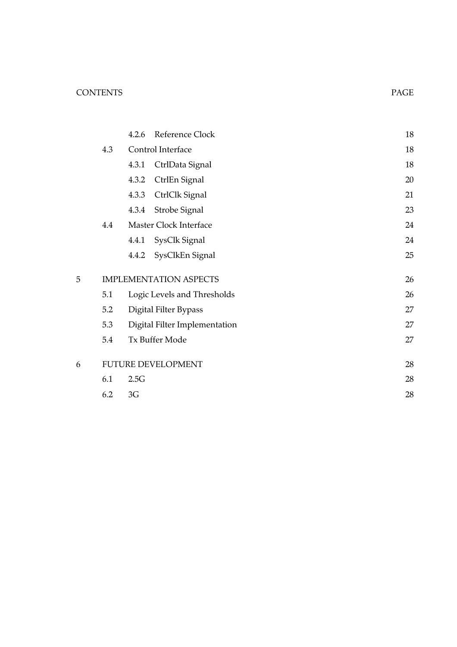# CONTENTS PAGE

|   |     | 4.2.6 | Reference Clock               | 18     |
|---|-----|-------|-------------------------------|--------|
|   | 4.3 |       | Control Interface             | 18     |
|   |     | 4.3.1 | CtrlData Signal               | 18     |
|   |     | 4.3.2 | CtrlEn Signal                 | 20     |
|   |     | 4.3.3 | CtrlClk Signal                | 21     |
|   |     | 4.3.4 | Strobe Signal                 | 23     |
|   | 4.4 |       | Master Clock Interface        | 24     |
|   |     |       | 4.4.1 SysClk Signal           | $24\,$ |
|   |     | 4.4.2 | SysClkEn Signal               | 25     |
| 5 |     |       | <b>IMPLEMENTATION ASPECTS</b> | 26     |
|   | 5.1 |       | Logic Levels and Thresholds   | 26     |
|   | 5.2 |       | Digital Filter Bypass         | 27     |
|   | 5.3 |       | Digital Filter Implementation | 27     |
|   | 5.4 |       | Tx Buffer Mode                | 27     |
| 6 |     |       | <b>FUTURE DEVELOPMENT</b>     | 28     |
|   | 6.1 | 2.5G  |                               | 28     |
|   | 6.2 | 3G    |                               | 28     |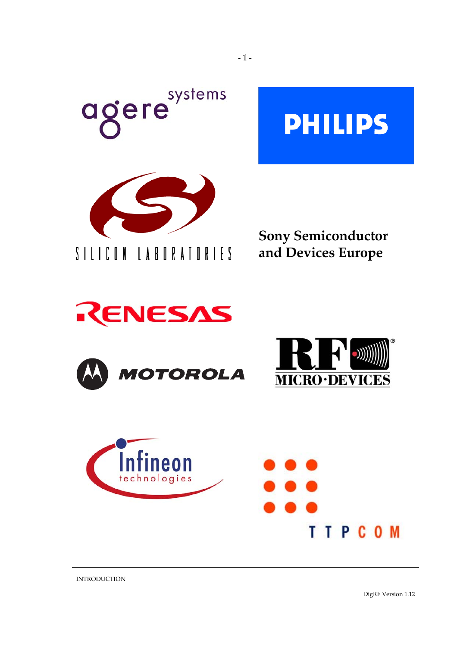











INTRODUCTION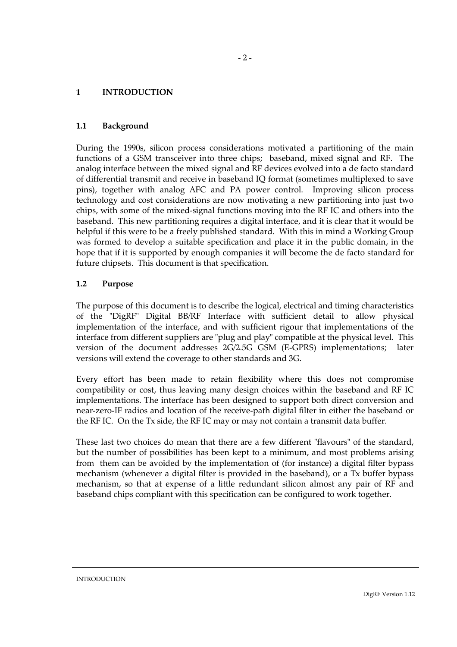#### <span id="page-5-0"></span>**1 INTRODUCTION**

#### **1.1 Background**

During the 1990s, silicon process considerations motivated a partitioning of the main functions of a GSM transceiver into three chips; baseband, mixed signal and RF. The analog interface between the mixed signal and RF devices evolved into a de facto standard of differential transmit and receive in baseband IQ format (sometimes multiplexed to save pins), together with analog AFC and PA power control. Improving silicon process technology and cost considerations are now motivating a new partitioning into just two chips, with some of the mixed-signal functions moving into the RF IC and others into the baseband. This new partitioning requires a digital interface, and it is clear that it would be helpful if this were to be a freely published standard. With this in mind a Working Group was formed to develop a suitable specification and place it in the public domain, in the hope that if it is supported by enough companies it will become the de facto standard for future chipsets. This document is that specification.

#### **1.2 Purpose**

The purpose of this document is to describe the logical, electrical and timing characteristics of the "DigRF" Digital BB/RF Interface with sufficient detail to allow physical implementation of the interface, and with sufficient rigour that implementations of the interface from different suppliers are "plug and play" compatible at the physical level. This version of the document addresses 2G/2.5G GSM (E-GPRS) implementations; later versions will extend the coverage to other standards and 3G.

Every effort has been made to retain flexibility where this does not compromise compatibility or cost, thus leaving many design choices within the baseband and RF IC implementations. The interface has been designed to support both direct conversion and near-zero-IF radios and location of the receive-path digital filter in either the baseband or the RF IC. On the Tx side, the RF IC may or may not contain a transmit data buffer.

These last two choices do mean that there are a few different "flavours" of the standard, but the number of possibilities has been kept to a minimum, and most problems arising from them can be avoided by the implementation of (for instance) a digital filter bypass mechanism (whenever a digital filter is provided in the baseband), or a Tx buffer bypass mechanism, so that at expense of a little redundant silicon almost any pair of RF and baseband chips compliant with this specification can be configured to work together.

**INTRODUCTION**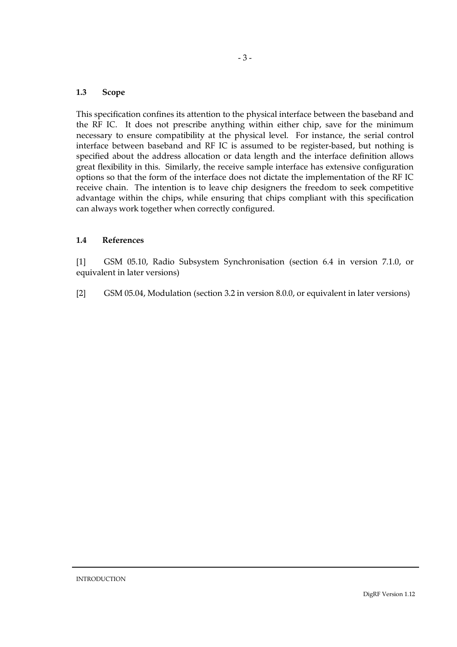#### <span id="page-6-0"></span>**1.3 Scope**

This specification confines its attention to the physical interface between the baseband and the RF IC. It does not prescribe anything within either chip, save for the minimum necessary to ensure compatibility at the physical level. For instance, the serial control interface between baseband and RF IC is assumed to be register-based, but nothing is specified about the address allocation or data length and the interface definition allows great flexibility in this. Similarly, the receive sample interface has extensive configuration options so that the form of the interface does not dictate the implementation of the RF IC receive chain. The intention is to leave chip designers the freedom to seek competitive advantage within the chips, while ensuring that chips compliant with this specification can always work together when correctly configured.

# **1.4 References**

[1] GSM 05.10, Radio Subsystem Synchronisation (section 6.4 in version 7.1.0, or equivalent in later versions)

[2] GSM 05.04, Modulation (section 3.2 in version 8.0.0, or equivalent in later versions)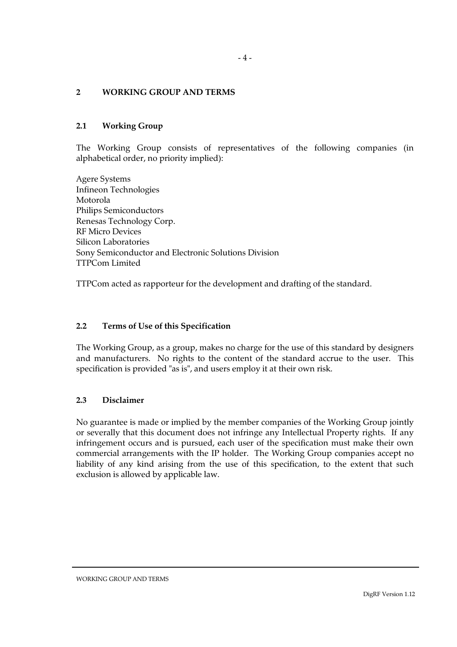### <span id="page-7-0"></span>**2 WORKING GROUP AND TERMS**

#### **2.1 Working Group**

The Working Group consists of representatives of the following companies (in alphabetical order, no priority implied):

Agere Systems Infineon Technologies Motorola Philips Semiconductors Renesas Technology Corp. RF Micro Devices Silicon Laboratories Sony Semiconductor and Electronic Solutions Division TTPCom Limited

TTPCom acted as rapporteur for the development and drafting of the standard.

#### **2.2 Terms of Use of this Specification**

The Working Group, as a group, makes no charge for the use of this standard by designers and manufacturers. No rights to the content of the standard accrue to the user. This specification is provided "as is", and users employ it at their own risk.

# **2.3 Disclaimer**

No guarantee is made or implied by the member companies of the Working Group jointly or severally that this document does not infringe any Intellectual Property rights. If any infringement occurs and is pursued, each user of the specification must make their own commercial arrangements with the IP holder. The Working Group companies accept no liability of any kind arising from the use of this specification, to the extent that such exclusion is allowed by applicable law.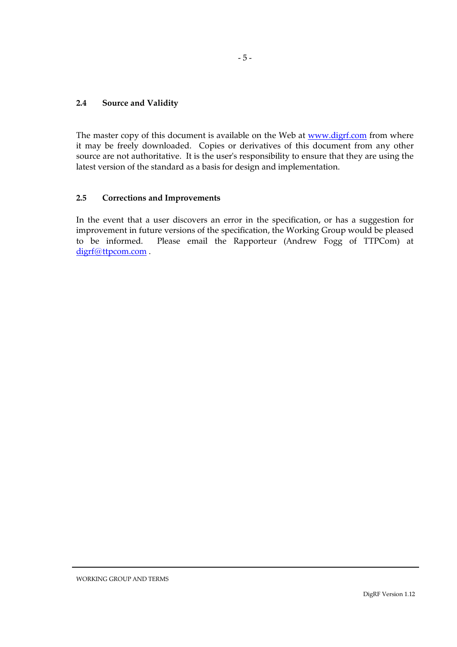#### <span id="page-8-0"></span>**2.4 Source and Validity**

The master copy of this document is available on the Web at [www.digrf.com](http://www.digrf.com/) from where it may be freely downloaded. Copies or derivatives of this document from any other source are not authoritative. It is the user's responsibility to ensure that they are using the latest version of the standard as a basis for design and implementation.

### **2.5 Corrections and Improvements**

In the event that a user discovers an error in the specification, or has a suggestion for improvement in future versions of the specification, the Working Group would be pleased to be informed. Please email the Rapporteur (Andrew Fogg of TTPCom) at [digrf@ttpcom.com](mailto:andrew.fogg@ttpcom.com) .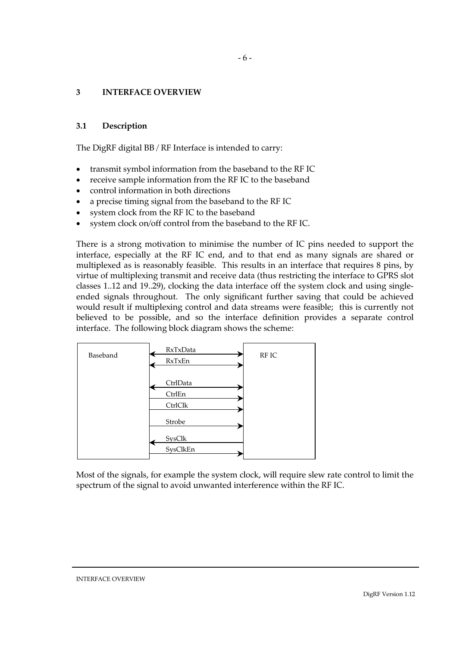### <span id="page-9-0"></span>**3 INTERFACE OVERVIEW**

#### **3.1 Description**

The DigRF digital BB / RF Interface is intended to carry:

- transmit symbol information from the baseband to the RF IC
- receive sample information from the RF IC to the baseband
- control information in both directions
- a precise timing signal from the baseband to the RF IC
- system clock from the RF IC to the baseband
- system clock on/off control from the baseband to the RF IC.

There is a strong motivation to minimise the number of IC pins needed to support the interface, especially at the RF IC end, and to that end as many signals are shared or multiplexed as is reasonably feasible. This results in an interface that requires 8 pins, by virtue of multiplexing transmit and receive data (thus restricting the interface to GPRS slot classes 1..12 and 19..29), clocking the data interface off the system clock and using singleended signals throughout. The only significant further saving that could be achieved would result if multiplexing control and data streams were feasible; this is currently not believed to be possible, and so the interface definition provides a separate control interface. The following block diagram shows the scheme:



Most of the signals, for example the system clock, will require slew rate control to limit the spectrum of the signal to avoid unwanted interference within the RF IC.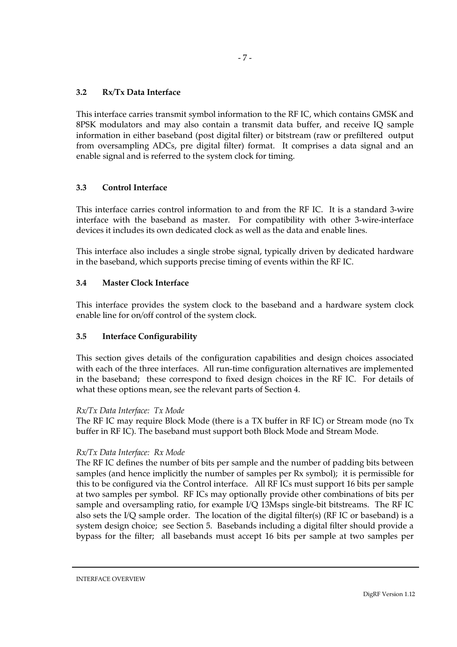# <span id="page-10-0"></span>**3.2 Rx/Tx Data Interface**

This interface carries transmit symbol information to the RF IC, which contains GMSK and 8PSK modulators and may also contain a transmit data buffer, and receive IQ sample information in either baseband (post digital filter) or bitstream (raw or prefiltered output from oversampling ADCs, pre digital filter) format. It comprises a data signal and an enable signal and is referred to the system clock for timing.

#### **3.3 Control Interface**

This interface carries control information to and from the RF IC. It is a standard 3-wire interface with the baseband as master. For compatibility with other 3-wire-interface devices it includes its own dedicated clock as well as the data and enable lines.

This interface also includes a single strobe signal, typically driven by dedicated hardware in the baseband, which supports precise timing of events within the RF IC.

#### **3.4 Master Clock Interface**

This interface provides the system clock to the baseband and a hardware system clock enable line for on/off control of the system clock.

# **3.5 Interface Configurability**

This section gives details of the configuration capabilities and design choices associated with each of the three interfaces. All run-time configuration alternatives are implemented in the baseband; these correspond to fixed design choices in the RF IC. For details of what these options mean, see the relevant parts of Section 4.

#### *Rx/Tx Data Interface: Tx Mode*

The RF IC may require Block Mode (there is a TX buffer in RF IC) or Stream mode (no Tx buffer in RF IC). The baseband must support both Block Mode and Stream Mode.

#### *Rx/Tx Data Interface: Rx Mode*

The RF IC defines the number of bits per sample and the number of padding bits between samples (and hence implicitly the number of samples per Rx symbol); it is permissible for this to be configured via the Control interface. All RF ICs must support 16 bits per sample at two samples per symbol. RF ICs may optionally provide other combinations of bits per sample and oversampling ratio, for example I/Q 13Msps single-bit bitstreams. The RF IC also sets the I/Q sample order. The location of the digital filter(s) (RF IC or baseband) is a system design choice; see Section 5. Basebands including a digital filter should provide a bypass for the filter; all basebands must accept 16 bits per sample at two samples per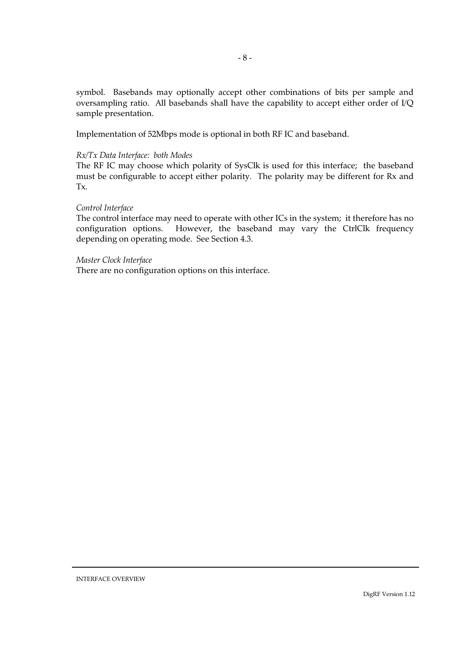symbol. Basebands may optionally accept other combinations of bits per sample and oversampling ratio. All basebands shall have the capability to accept either order of I/Q sample presentation.

Implementation of 52Mbps mode is optional in both RF IC and baseband.

#### *Rx/Tx Data Interface: both Modes*

The RF IC may choose which polarity of SysClk is used for this interface; the baseband must be configurable to accept either polarity. The polarity may be different for Rx and Tx.

# *Control Interface*

The control interface may need to operate with other ICs in the system; it therefore has no configuration options. However, the baseband may vary the CtrlClk frequency depending on operating mode. See Section 4.3.

#### *Master Clock Interface*

There are no configuration options on this interface.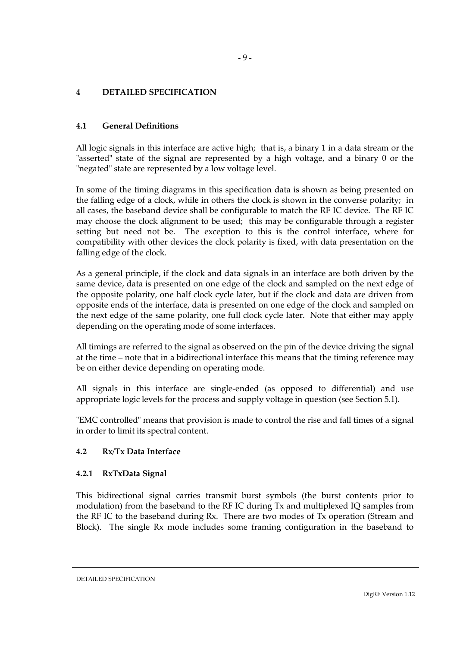# <span id="page-12-0"></span>**4 DETAILED SPECIFICATION**

# **4.1 General Definitions**

All logic signals in this interface are active high; that is, a binary 1 in a data stream or the "asserted" state of the signal are represented by a high voltage, and a binary 0 or the "negated" state are represented by a low voltage level.

In some of the timing diagrams in this specification data is shown as being presented on the falling edge of a clock, while in others the clock is shown in the converse polarity; in all cases, the baseband device shall be configurable to match the RF IC device. The RF IC may choose the clock alignment to be used; this may be configurable through a register setting but need not be. The exception to this is the control interface, where for compatibility with other devices the clock polarity is fixed, with data presentation on the falling edge of the clock.

As a general principle, if the clock and data signals in an interface are both driven by the same device, data is presented on one edge of the clock and sampled on the next edge of the opposite polarity, one half clock cycle later, but if the clock and data are driven from opposite ends of the interface, data is presented on one edge of the clock and sampled on the next edge of the same polarity, one full clock cycle later. Note that either may apply depending on the operating mode of some interfaces.

All timings are referred to the signal as observed on the pin of the device driving the signal at the time – note that in a bidirectional interface this means that the timing reference may be on either device depending on operating mode.

All signals in this interface are single-ended (as opposed to differential) and use appropriate logic levels for the process and supply voltage in question (see Section 5.1).

"EMC controlled" means that provision is made to control the rise and fall times of a signal in order to limit its spectral content.

# **4.2 Rx/Tx Data Interface**

# **4.2.1 RxTxData Signal**

This bidirectional signal carries transmit burst symbols (the burst contents prior to modulation) from the baseband to the RF IC during Tx and multiplexed IQ samples from the RF IC to the baseband during Rx. There are two modes of Tx operation (Stream and Block). The single Rx mode includes some framing configuration in the baseband to

DETAILED SPECIFICATION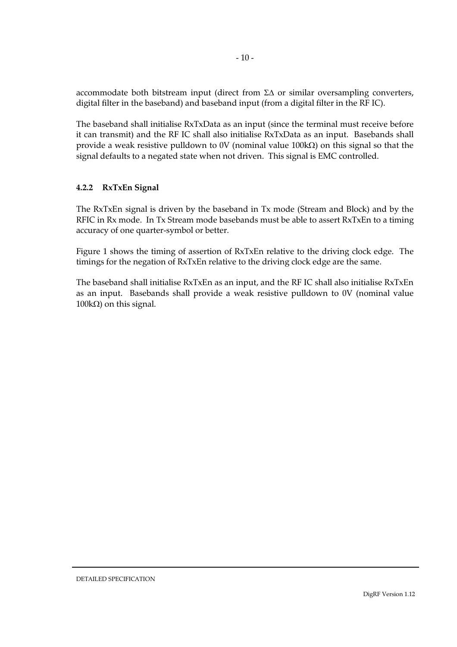<span id="page-13-0"></span>accommodate both bitstream input (direct from Σ∆ or similar oversampling converters, digital filter in the baseband) and baseband input (from a digital filter in the RF IC).

The baseband shall initialise RxTxData as an input (since the terminal must receive before it can transmit) and the RF IC shall also initialise RxTxData as an input. Basebands shall provide a weak resistive pulldown to 0V (nominal value 100kΩ) on this signal so that the signal defaults to a negated state when not driven. This signal is EMC controlled.

# **4.2.2 RxTxEn Signal**

The RxTxEn signal is driven by the baseband in Tx mode (Stream and Block) and by the RFIC in Rx mode. In Tx Stream mode basebands must be able to assert RxTxEn to a timing accuracy of one quarter-symbol or better.

Figure 1 shows the timing of assertion of RxTxEn relative to the driving clock edge. The timings for the negation of RxTxEn relative to the driving clock edge are the same.

The baseband shall initialise RxTxEn as an input, and the RF IC shall also initialise RxTxEn as an input. Basebands shall provide a weak resistive pulldown to 0V (nominal value 100kΩ) on this signal.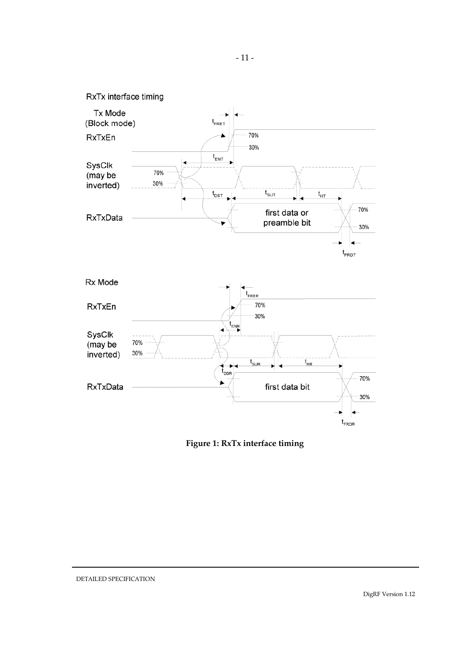

**Figure 1: RxTx interface timing**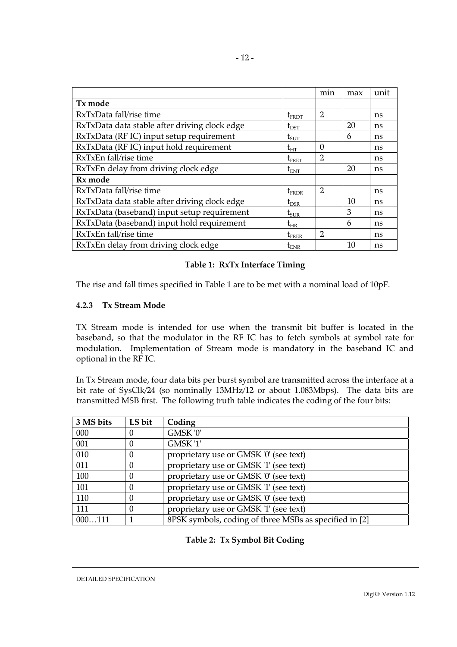<span id="page-15-0"></span>

|                                               |                                | min                         | max | unit |
|-----------------------------------------------|--------------------------------|-----------------------------|-----|------|
| Tx mode                                       |                                |                             |     |      |
| RxTxData fall/rise time                       | $\mathfrak{t}_{\texttt{FRDT}}$ | $\overline{2}$              |     | ns   |
| RxTxData data stable after driving clock edge | $t_{\rm DST}$                  |                             | 20  | ns   |
| RxTxData (RF IC) input setup requirement      | $t_{\rm SUT}$                  |                             | 6   | ns   |
| RxTxData (RF IC) input hold requirement       | $t_{HT}$                       | $\Omega$                    |     | ns   |
| RxTxEn fall/rise time                         | $t_{\text{FRET}}$              | 2                           |     | ns   |
| RxTxEn delay from driving clock edge          | $t_{ENT}$                      |                             | 20  | ns   |
| Rx mode                                       |                                |                             |     |      |
| RxTxData fall/rise time                       | $t_{FRDR}$                     | $\mathcal{L}_{\mathcal{L}}$ |     | ns   |
| RxTxData data stable after driving clock edge | $t_{DSR}$                      |                             | 10  | ns   |
| RxTxData (baseband) input setup requirement   | $t_{\text{SUR}}$               |                             | 3   | ns   |
| RxTxData (baseband) input hold requirement    | $t_{HR}$                       |                             | 6   | ns   |
| RxTxEn fall/rise time                         | $t_{\rm FRER}$                 | $\overline{2}$              |     | ns   |
| RxTxEn delay from driving clock edge          | $\rm t_{ENR}$                  |                             | 10  | ns   |

# **Table 1: RxTx Interface Timing**

The rise and fall times specified in Table 1 are to be met with a nominal load of 10pF.

# **4.2.3 Tx Stream Mode**

TX Stream mode is intended for use when the transmit bit buffer is located in the baseband, so that the modulator in the RF IC has to fetch symbols at symbol rate for modulation. Implementation of Stream mode is mandatory in the baseband IC and optional in the RF IC.

In Tx Stream mode, four data bits per burst symbol are transmitted across the interface at a bit rate of SysClk/24 (so nominally 13MHz/12 or about 1.083Mbps). The data bits are transmitted MSB first. The following truth table indicates the coding of the four bits:

| 3 MS bits | LS bit | Coding                                                 |
|-----------|--------|--------------------------------------------------------|
| 000       |        | GMSK '0'                                               |
| 001       |        | GMSK <sup>'1'</sup>                                    |
| 010       | 0      | proprietary use or GMSK '0' (see text)                 |
| 011       | 0      | proprietary use or GMSK '1' (see text)                 |
| 100       | 0      | proprietary use or GMSK '0' (see text)                 |
| 101       |        | proprietary use or GMSK '1' (see text)                 |
| 110       |        | proprietary use or GMSK '0' (see text)                 |
| 111       |        | proprietary use or GMSK '1' (see text)                 |
| 000111    |        | 8PSK symbols, coding of three MSBs as specified in [2] |

# **Table 2: Tx Symbol Bit Coding**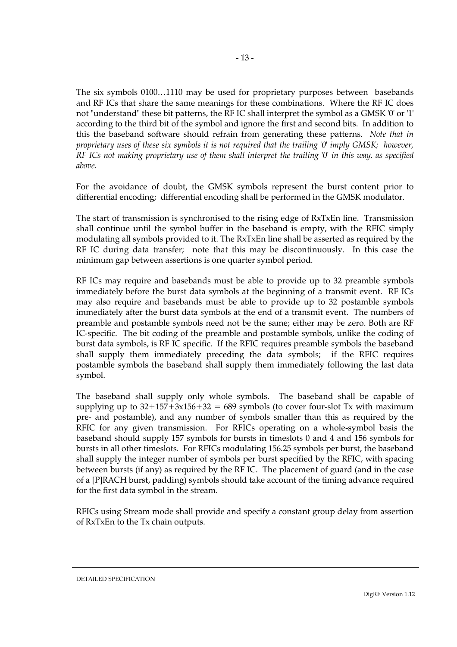The six symbols 0100…1110 may be used for proprietary purposes between basebands and RF ICs that share the same meanings for these combinations. Where the RF IC does not "understand" these bit patterns, the RF IC shall interpret the symbol as a GMSK '0' or '1' according to the third bit of the symbol and ignore the first and second bits. In addition to this the baseband software should refrain from generating these patterns. *Note that in proprietary uses of these six symbols it is not required that the trailing '0' imply GMSK; however, RF ICs not making proprietary use of them shall interpret the trailing '0' in this way, as specified above.*

For the avoidance of doubt, the GMSK symbols represent the burst content prior to differential encoding; differential encoding shall be performed in the GMSK modulator.

The start of transmission is synchronised to the rising edge of RxTxEn line. Transmission shall continue until the symbol buffer in the baseband is empty, with the RFIC simply modulating all symbols provided to it. The RxTxEn line shall be asserted as required by the RF IC during data transfer; note that this may be discontinuously. In this case the minimum gap between assertions is one quarter symbol period.

RF ICs may require and basebands must be able to provide up to 32 preamble symbols immediately before the burst data symbols at the beginning of a transmit event. RF ICs may also require and basebands must be able to provide up to 32 postamble symbols immediately after the burst data symbols at the end of a transmit event. The numbers of preamble and postamble symbols need not be the same; either may be zero. Both are RF IC-specific. The bit coding of the preamble and postamble symbols, unlike the coding of burst data symbols, is RF IC specific. If the RFIC requires preamble symbols the baseband shall supply them immediately preceding the data symbols; if the RFIC requires postamble symbols the baseband shall supply them immediately following the last data symbol.

The baseband shall supply only whole symbols. The baseband shall be capable of supplying up to  $32+157+3x156+32 = 689$  symbols (to cover four-slot Tx with maximum pre- and postamble), and any number of symbols smaller than this as required by the RFIC for any given transmission. For RFICs operating on a whole-symbol basis the baseband should supply 157 symbols for bursts in timeslots 0 and 4 and 156 symbols for bursts in all other timeslots. For RFICs modulating 156.25 symbols per burst, the baseband shall supply the integer number of symbols per burst specified by the RFIC, with spacing between bursts (if any) as required by the RF IC. The placement of guard (and in the case of a [P]RACH burst, padding) symbols should take account of the timing advance required for the first data symbol in the stream.

RFICs using Stream mode shall provide and specify a constant group delay from assertion of RxTxEn to the Tx chain outputs.

DETAILED SPECIFICATION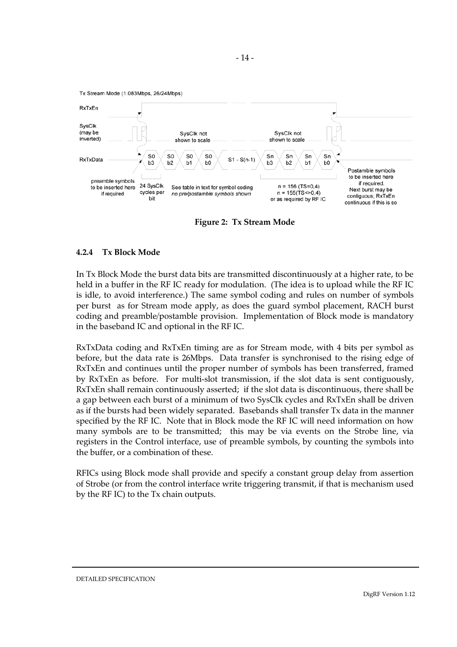<span id="page-17-0"></span>

**Figure 2: Tx Stream Mode** 

# **4.2.4 Tx Block Mode**

In Tx Block Mode the burst data bits are transmitted discontinuously at a higher rate, to be held in a buffer in the RF IC ready for modulation. (The idea is to upload while the RF IC is idle, to avoid interference.) The same symbol coding and rules on number of symbols per burst as for Stream mode apply, as does the guard symbol placement, RACH burst coding and preamble/postamble provision. Implementation of Block mode is mandatory in the baseband IC and optional in the RF IC.

RxTxData coding and RxTxEn timing are as for Stream mode, with 4 bits per symbol as before, but the data rate is 26Mbps. Data transfer is synchronised to the rising edge of RxTxEn and continues until the proper number of symbols has been transferred, framed by RxTxEn as before. For multi-slot transmission, if the slot data is sent contiguously, RxTxEn shall remain continuously asserted; if the slot data is discontinuous, there shall be a gap between each burst of a minimum of two SysClk cycles and RxTxEn shall be driven as if the bursts had been widely separated. Basebands shall transfer Tx data in the manner specified by the RF IC. Note that in Block mode the RF IC will need information on how many symbols are to be transmitted; this may be via events on the Strobe line, via registers in the Control interface, use of preamble symbols, by counting the symbols into the buffer, or a combination of these.

RFICs using Block mode shall provide and specify a constant group delay from assertion of Strobe (or from the control interface write triggering transmit, if that is mechanism used by the RF IC) to the Tx chain outputs.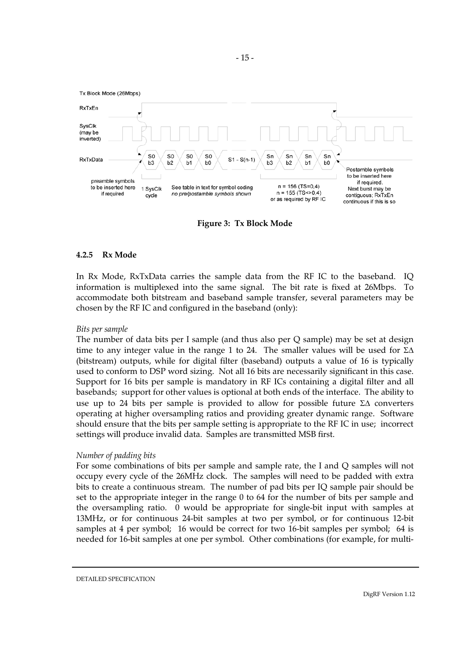<span id="page-18-0"></span>

**Figure 3: Tx Block Mode**

#### **4.2.5 Rx Mode**

In Rx Mode, RxTxData carries the sample data from the RF IC to the baseband. IQ information is multiplexed into the same signal. The bit rate is fixed at 26Mbps. To accommodate both bitstream and baseband sample transfer, several parameters may be chosen by the RF IC and configured in the baseband (only):

# *Bits per sample*

The number of data bits per I sample (and thus also per Q sample) may be set at design time to any integer value in the range 1 to 24. The smaller values will be used for  $\Sigma\Delta$ (bitstream) outputs, while for digital filter (baseband) outputs a value of 16 is typically used to conform to DSP word sizing. Not all 16 bits are necessarily significant in this case. Support for 16 bits per sample is mandatory in RF ICs containing a digital filter and all basebands; support for other values is optional at both ends of the interface. The ability to use up to 24 bits per sample is provided to allow for possible future Σ∆ converters operating at higher oversampling ratios and providing greater dynamic range. Software should ensure that the bits per sample setting is appropriate to the RF IC in use; incorrect settings will produce invalid data. Samples are transmitted MSB first.

# *Number of padding bits*

For some combinations of bits per sample and sample rate, the I and Q samples will not occupy every cycle of the 26MHz clock. The samples will need to be padded with extra bits to create a continuous stream. The number of pad bits per IQ sample pair should be set to the appropriate integer in the range 0 to 64 for the number of bits per sample and the oversampling ratio. 0 would be appropriate for single-bit input with samples at 13MHz, or for continuous 24-bit samples at two per symbol, or for continuous 12-bit samples at 4 per symbol; 16 would be correct for two 16-bit samples per symbol; 64 is needed for 16-bit samples at one per symbol. Other combinations (for example, for multi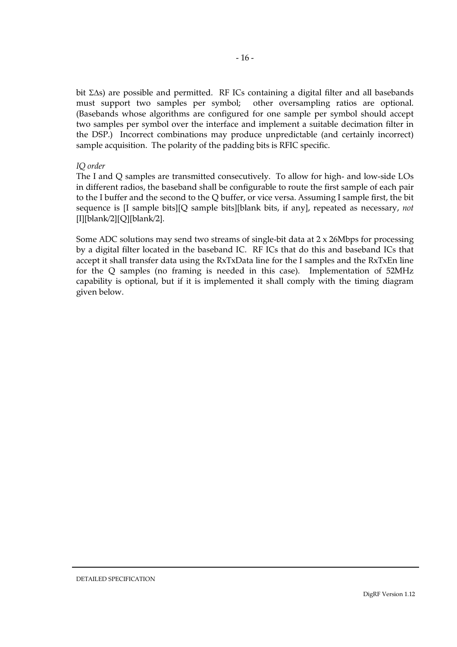bit Σ∆s) are possible and permitted. RF ICs containing a digital filter and all basebands must support two samples per symbol; other oversampling ratios are optional. (Basebands whose algorithms are configured for one sample per symbol should accept two samples per symbol over the interface and implement a suitable decimation filter in the DSP.) Incorrect combinations may produce unpredictable (and certainly incorrect) sample acquisition. The polarity of the padding bits is RFIC specific.

# *IQ order*

The I and Q samples are transmitted consecutively. To allow for high- and low-side LOs in different radios, the baseband shall be configurable to route the first sample of each pair to the I buffer and the second to the Q buffer, or vice versa. Assuming I sample first, the bit sequence is [I sample bits][Q sample bits][blank bits, if any], repeated as necessary, *not* [I][blank/2][Q][blank/2].

Some ADC solutions may send two streams of single-bit data at 2 x 26Mbps for processing by a digital filter located in the baseband IC. RF ICs that do this and baseband ICs that accept it shall transfer data using the RxTxData line for the I samples and the RxTxEn line for the Q samples (no framing is needed in this case). Implementation of 52MHz capability is optional, but if it is implemented it shall comply with the timing diagram given below.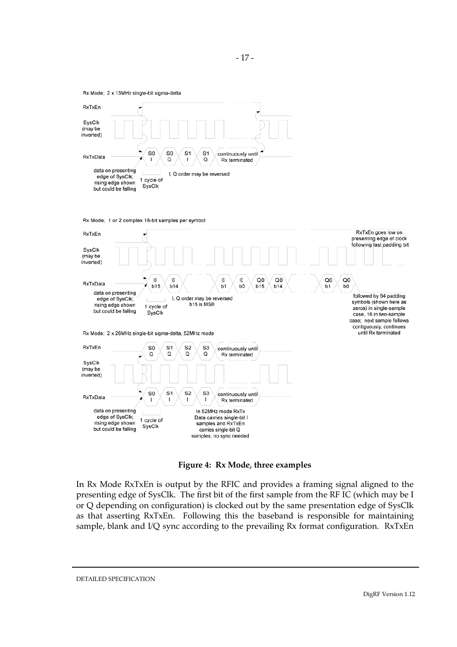



**Figure 4: Rx Mode, three examples**

In Rx Mode RxTxEn is output by the RFIC and provides a framing signal aligned to the presenting edge of SysClk. The first bit of the first sample from the RF IC (which may be I or Q depending on configuration) is clocked out by the same presentation edge of SysClk as that asserting RxTxEn. Following this the baseband is responsible for maintaining sample, blank and I/Q sync according to the prevailing Rx format configuration. RxTxEn

DETAILED SPECIFICATION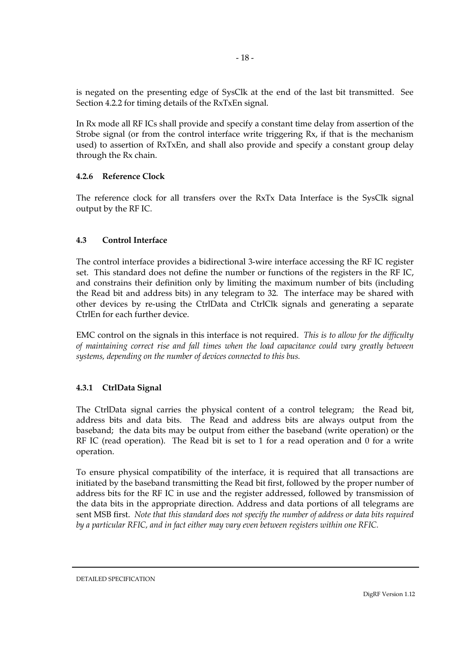<span id="page-21-0"></span>is negated on the presenting edge of SysClk at the end of the last bit transmitted. See Section 4.2.2 for timing details of the RxTxEn signal.

In Rx mode all RF ICs shall provide and specify a constant time delay from assertion of the Strobe signal (or from the control interface write triggering Rx, if that is the mechanism used) to assertion of RxTxEn, and shall also provide and specify a constant group delay through the Rx chain.

# **4.2.6 Reference Clock**

The reference clock for all transfers over the RxTx Data Interface is the SysClk signal output by the RF IC.

# **4.3 Control Interface**

The control interface provides a bidirectional 3-wire interface accessing the RF IC register set. This standard does not define the number or functions of the registers in the RF IC, and constrains their definition only by limiting the maximum number of bits (including the Read bit and address bits) in any telegram to 32. The interface may be shared with other devices by re-using the CtrlData and CtrlClk signals and generating a separate CtrlEn for each further device.

EMC control on the signals in this interface is not required. *This is to allow for the difficulty of maintaining correct rise and fall times when the load capacitance could vary greatly between systems, depending on the number of devices connected to this bus.*

# **4.3.1 CtrlData Signal**

The CtrlData signal carries the physical content of a control telegram; the Read bit, address bits and data bits. The Read and address bits are always output from the baseband; the data bits may be output from either the baseband (write operation) or the RF IC (read operation). The Read bit is set to 1 for a read operation and 0 for a write operation.

To ensure physical compatibility of the interface, it is required that all transactions are initiated by the baseband transmitting the Read bit first, followed by the proper number of address bits for the RF IC in use and the register addressed, followed by transmission of the data bits in the appropriate direction. Address and data portions of all telegrams are sent MSB first. *Note that this standard does not specify the number of address or data bits required by a particular RFIC, and in fact either may vary even between registers within one RFIC.*

DETAILED SPECIFICATION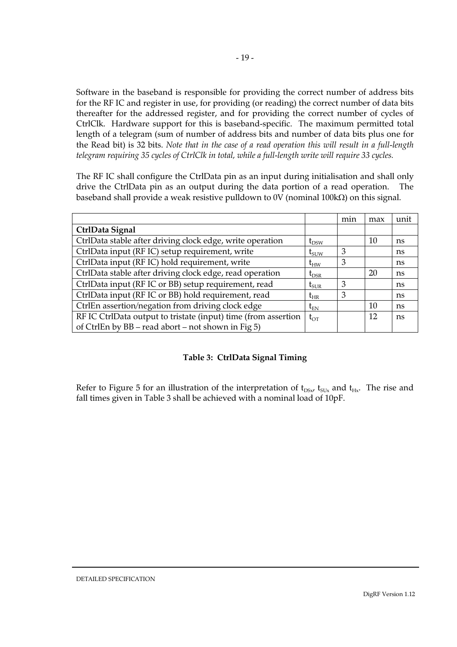Software in the baseband is responsible for providing the correct number of address bits for the RF IC and register in use, for providing (or reading) the correct number of data bits thereafter for the addressed register, and for providing the correct number of cycles of CtrlClk. Hardware support for this is baseband-specific. The maximum permitted total length of a telegram (sum of number of address bits and number of data bits plus one for the Read bit) is 32 bits. *Note that in the case of a read operation this will result in a full-length telegram requiring 35 cycles of CtrlClk in total, while a full-length write will require 33 cycles.*

The RF IC shall configure the CtrlData pin as an input during initialisation and shall only drive the CtrlData pin as an output during the data portion of a read operation. The baseband shall provide a weak resistive pulldown to 0V (nominal 100kΩ) on this signal.

|                                                                |                  | min | max | unit |
|----------------------------------------------------------------|------------------|-----|-----|------|
| CtrlData Signal                                                |                  |     |     |      |
| CtrlData stable after driving clock edge, write operation      | $t_{DSW}$        |     | 10  | ns   |
| CtrlData input (RF IC) setup requirement, write                | $t_{\text{SUV}}$ | 3   |     | ns.  |
| CtrlData input (RF IC) hold requirement, write                 | $t_{HW}$         | 3   |     | ns   |
| CtrlData stable after driving clock edge, read operation       | $t_{DSR}$        |     | 20  | ns   |
| CtrlData input (RF IC or BB) setup requirement, read           | $t_{\text{SUR}}$ | 3   |     | ns   |
| CtrlData input (RF IC or BB) hold requirement, read            | $\rm t_{HR}$     | 3   |     | ns   |
| CtrlEn assertion/negation from driving clock edge              | $\rm t_{\rm EN}$ |     | 10  | ns   |
| RF IC CtrlData output to tristate (input) time (from assertion | $t_{\text{OT}}$  |     | 12  | ns   |
| of CtrlEn by BB – read abort – not shown in Fig 5)             |                  |     |     |      |

# **Table 3: CtrlData Signal Timing**

Refer to Figure 5 for an illustration of the interpretation of  $t_{DSx}$ ,  $t_{SUX}$  and  $t_{Hx}$ . The rise and fall times given in Table 3 shall be achieved with a nominal load of 10pF.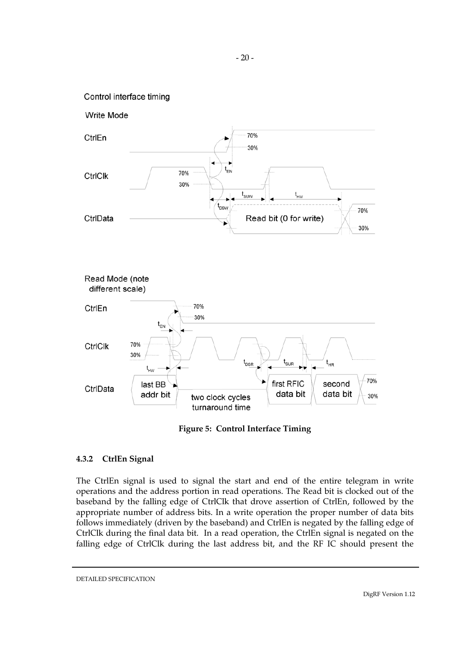### <span id="page-23-0"></span>Control interface timing



**Figure 5: Control Interface Timing** 

# **4.3.2 CtrlEn Signal**

The CtrlEn signal is used to signal the start and end of the entire telegram in write operations and the address portion in read operations. The Read bit is clocked out of the baseband by the falling edge of CtrlClk that drove assertion of CtrlEn, followed by the appropriate number of address bits. In a write operation the proper number of data bits follows immediately (driven by the baseband) and CtrlEn is negated by the falling edge of CtrlClk during the final data bit. In a read operation, the CtrlEn signal is negated on the falling edge of CtrlClk during the last address bit, and the RF IC should present the

DETAILED SPECIFICATION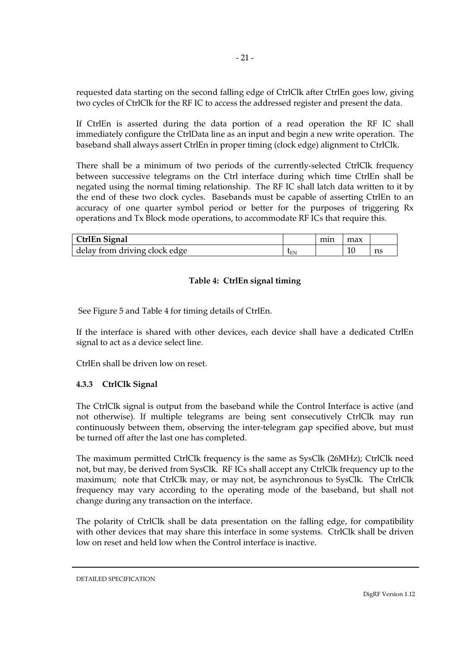<span id="page-24-0"></span>requested data starting on the second falling edge of CtrlClk after CtrlEn goes low, giving two cycles of CtrlClk for the RF IC to access the addressed register and present the data.

If CtrlEn is asserted during the data portion of a read operation the RF IC shall immediately configure the CtrlData line as an input and begin a new write operation. The baseband shall always assert CtrlEn in proper timing (clock edge) alignment to CtrlClk.

There shall be a minimum of two periods of the currently-selected CtrlClk frequency between successive telegrams on the Ctrl interface during which time CtrlEn shall be negated using the normal timing relationship. The RF IC shall latch data written to it by the end of these two clock cycles. Basebands must be capable of asserting CtrlEn to an accuracy of one quarter symbol period or better for the purposes of triggering Rx operations and Tx Block mode operations, to accommodate RF ICs that require this.

| <b>CtrlEn Signal</b>          |                       | mın |    |    |
|-------------------------------|-----------------------|-----|----|----|
| delay from driving clock edge | $\iota_{\mathrm{EN}}$ |     | ΠU | ns |

# **Table 4: CtrlEn signal timing**

See Figure 5 and Table 4 for timing details of CtrlEn.

If the interface is shared with other devices, each device shall have a dedicated CtrlEn signal to act as a device select line.

CtrlEn shall be driven low on reset.

# **4.3.3 CtrlClk Signal**

The CtrlClk signal is output from the baseband while the Control Interface is active (and not otherwise). If multiple telegrams are being sent consecutively CtrlClk may run continuously between them, observing the inter-telegram gap specified above, but must be turned off after the last one has completed.

The maximum permitted CtrlClk frequency is the same as SysClk (26MHz); CtrlClk need not, but may, be derived from SysClk. RF ICs shall accept any CtrlClk frequency up to the maximum; note that CtrlClk may, or may not, be asynchronous to SysClk. The CtrlClk frequency may vary according to the operating mode of the baseband, but shall not change during any transaction on the interface.

The polarity of CtrlClk shall be data presentation on the falling edge, for compatibility with other devices that may share this interface in some systems. CtrlClk shall be driven low on reset and held low when the Control interface is inactive.

DETAILED SPECIFICATION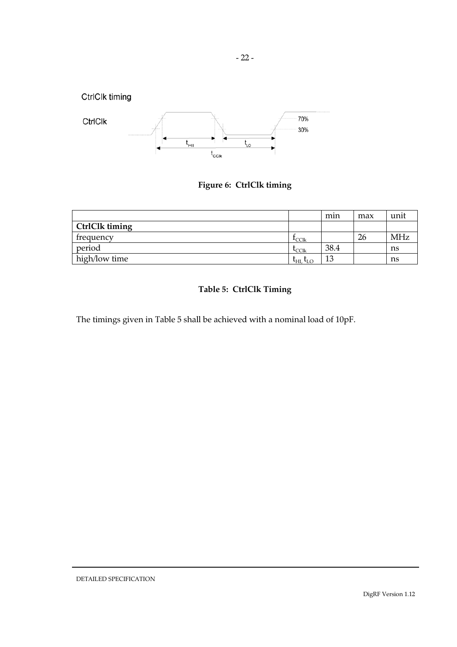

# **Figure 6: CtrlClk timing**

|                |                                    | mın       | max | unit       |
|----------------|------------------------------------|-----------|-----|------------|
| CtrlClk timing |                                    |           |     |            |
| frequency      | $_{\rm LCLk}$                      |           | 26  | <b>MHz</b> |
| period         | $L_{CClk}$                         | 38.4      |     | ns         |
| high/low time  | $L_{\text{HL}}$<br>$L_{\text{LO}}$ | 1 O<br>ıυ |     | ns         |

# **Table 5: CtrlClk Timing**

The timings given in Table 5 shall be achieved with a nominal load of 10pF.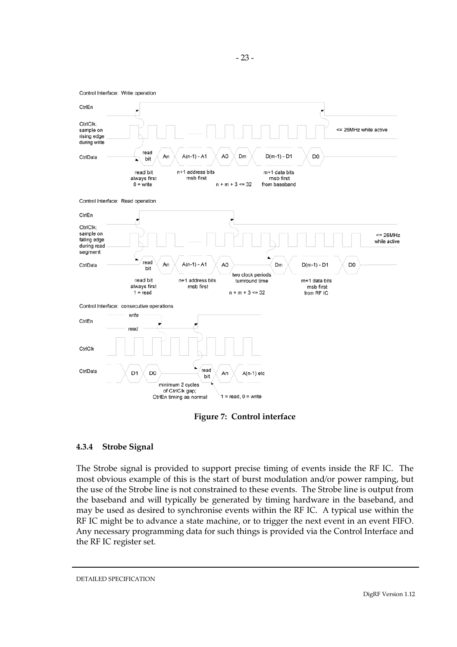<span id="page-26-0"></span>

**Figure 7: Control interface** 

# **4.3.4 Strobe Signal**

The Strobe signal is provided to support precise timing of events inside the RF IC. The most obvious example of this is the start of burst modulation and/or power ramping, but the use of the Strobe line is not constrained to these events. The Strobe line is output from the baseband and will typically be generated by timing hardware in the baseband, and may be used as desired to synchronise events within the RF IC. A typical use within the RF IC might be to advance a state machine, or to trigger the next event in an event FIFO. Any necessary programming data for such things is provided via the Control Interface and the RF IC register set.

DETAILED SPECIFICATION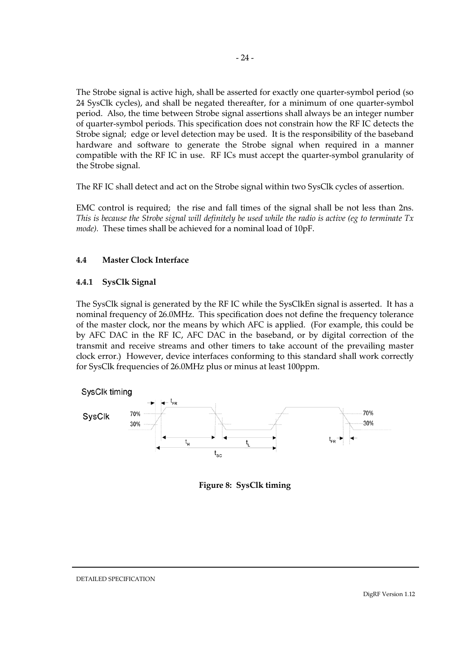<span id="page-27-0"></span>The Strobe signal is active high, shall be asserted for exactly one quarter-symbol period (so 24 SysClk cycles), and shall be negated thereafter, for a minimum of one quarter-symbol period. Also, the time between Strobe signal assertions shall always be an integer number of quarter-symbol periods. This specification does not constrain how the RF IC detects the Strobe signal; edge or level detection may be used. It is the responsibility of the baseband hardware and software to generate the Strobe signal when required in a manner compatible with the RF IC in use. RF ICs must accept the quarter-symbol granularity of the Strobe signal.

The RF IC shall detect and act on the Strobe signal within two SysClk cycles of assertion.

EMC control is required; the rise and fall times of the signal shall be not less than 2ns. *This is because the Strobe signal will definitely be used while the radio is active (eg to terminate Tx mode).* These times shall be achieved for a nominal load of 10pF.

# **4.4 Master Clock Interface**

#### **4.4.1 SysClk Signal**

The SysClk signal is generated by the RF IC while the SysClkEn signal is asserted. It has a nominal frequency of 26.0MHz. This specification does not define the frequency tolerance of the master clock, nor the means by which AFC is applied. (For example, this could be by AFC DAC in the RF IC, AFC DAC in the baseband, or by digital correction of the transmit and receive streams and other timers to take account of the prevailing master clock error.) However, device interfaces conforming to this standard shall work correctly for SysClk frequencies of 26.0MHz plus or minus at least 100ppm.



**Figure 8: SysClk timing**

DETAILED SPECIFICATION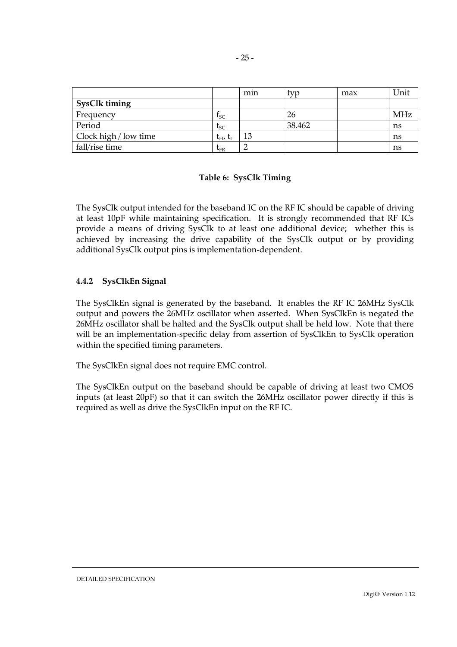<span id="page-28-0"></span>

|                       |                           | min | tvp    | max | Unit       |
|-----------------------|---------------------------|-----|--------|-----|------------|
| <b>SysClk timing</b>  |                           |     |        |     |            |
| Frequency             | $I_{SC}$                  |     | 26     |     | <b>MHz</b> |
| Period                | $t_{SC}$                  |     | 38.462 |     | ns         |
| Clock high / low time | $t_{\rm H}$ , $t_{\rm L}$ | 13  |        |     | ns         |
| fall/rise time        | $t_{FR}$                  |     |        |     | ns         |

# **Table 6: SysClk Timing**

The SysClk output intended for the baseband IC on the RF IC should be capable of driving at least 10pF while maintaining specification. It is strongly recommended that RF ICs provide a means of driving SysClk to at least one additional device; whether this is achieved by increasing the drive capability of the SysClk output or by providing additional SysClk output pins is implementation-dependent.

# **4.4.2 SysClkEn Signal**

The SysClkEn signal is generated by the baseband. It enables the RF IC 26MHz SysClk output and powers the 26MHz oscillator when asserted. When SysClkEn is negated the 26MHz oscillator shall be halted and the SysClk output shall be held low. Note that there will be an implementation-specific delay from assertion of SysClkEn to SysClk operation within the specified timing parameters.

The SysClkEn signal does not require EMC control.

The SysClkEn output on the baseband should be capable of driving at least two CMOS inputs (at least 20pF) so that it can switch the 26MHz oscillator power directly if this is required as well as drive the SysClkEn input on the RF IC.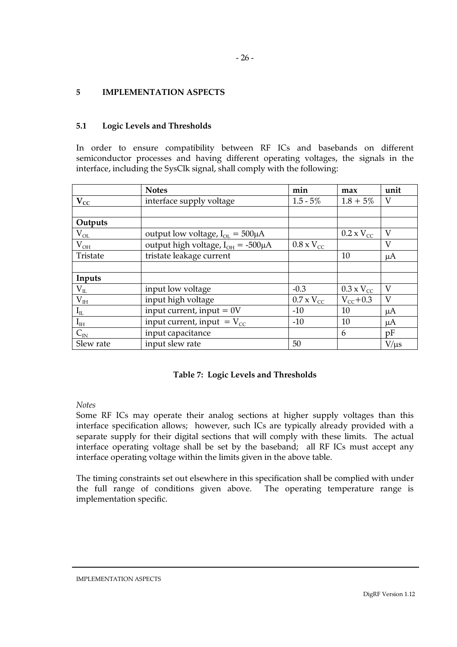#### - 26 -

# <span id="page-29-0"></span>**5 IMPLEMENTATION ASPECTS**

# **5.1 Logic Levels and Thresholds**

In order to ensure compatibility between RF ICs and basebands on different semiconductor processes and having different operating voltages, the signals in the interface, including the SysClk signal, shall comply with the following:

|                               | <b>Notes</b>                               | min                 | max                 | unit      |
|-------------------------------|--------------------------------------------|---------------------|---------------------|-----------|
| $V_{CC}$                      | interface supply voltage                   | $1.5 - 5\%$         | $1.8 + 5\%$         | V         |
|                               |                                            |                     |                     |           |
| Outputs                       |                                            |                     |                     |           |
| $V_{OL}$                      | output low voltage, $I_{OL} = 500 \mu A$   |                     | $0.2 \times V_{CC}$ | V         |
| $\rm V_{OH}$                  | output high voltage, $I_{OH} = -500 \mu A$ | $0.8 \times V_{CC}$ |                     | $\rm V$   |
| Tristate                      | tristate leakage current                   |                     | 10                  | $\mu A$   |
|                               |                                            |                     |                     |           |
| Inputs                        |                                            |                     |                     |           |
| $\underline{V_{\textsc{IL}}}$ | input low voltage                          | $-0.3$              | $0.3 \times V_{CC}$ | V         |
| $\overline{V_{IH}}$           | input high voltage                         | $0.7 \times V_{CC}$ | $V_{cc}$ +0.3       | $\rm V$   |
| $\rm I_{\rm IL}$              | input current, input $= 0V$                | $-10$               | 10                  | $\mu A$   |
| $\mathbf{I}_{\rm IH}$         | input current, input = $V_{cc}$            | $-10$               | 10                  | $\mu A$   |
| $C_{\text{IN}}$               | input capacitance                          |                     | 6                   | pF        |
| Slew rate                     | input slew rate                            | 50                  |                     | $V/\mu s$ |

# **Table 7: Logic Levels and Thresholds**

# *Notes*

Some RF ICs may operate their analog sections at higher supply voltages than this interface specification allows; however, such ICs are typically already provided with a separate supply for their digital sections that will comply with these limits. The actual interface operating voltage shall be set by the baseband; all RF ICs must accept any interface operating voltage within the limits given in the above table.

The timing constraints set out elsewhere in this specification shall be complied with under the full range of conditions given above. The operating temperature range is implementation specific.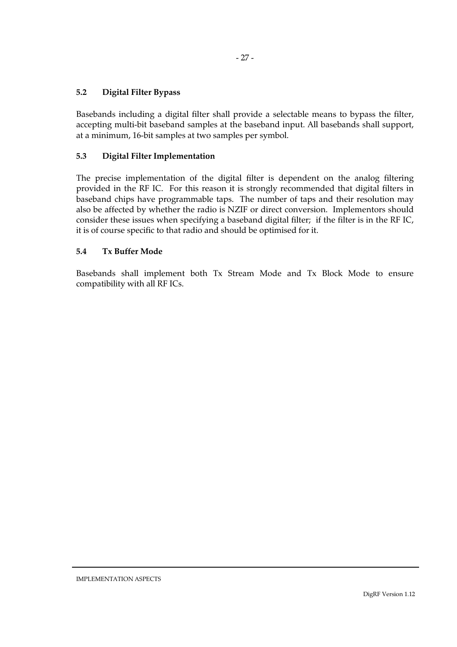# <span id="page-30-0"></span>**5.2 Digital Filter Bypass**

Basebands including a digital filter shall provide a selectable means to bypass the filter, accepting multi-bit baseband samples at the baseband input. All basebands shall support, at a minimum, 16-bit samples at two samples per symbol.

# **5.3 Digital Filter Implementation**

The precise implementation of the digital filter is dependent on the analog filtering provided in the RF IC. For this reason it is strongly recommended that digital filters in baseband chips have programmable taps. The number of taps and their resolution may also be affected by whether the radio is NZIF or direct conversion. Implementors should consider these issues when specifying a baseband digital filter; if the filter is in the RF IC, it is of course specific to that radio and should be optimised for it.

# **5.4 Tx Buffer Mode**

Basebands shall implement both Tx Stream Mode and Tx Block Mode to ensure compatibility with all RF ICs.